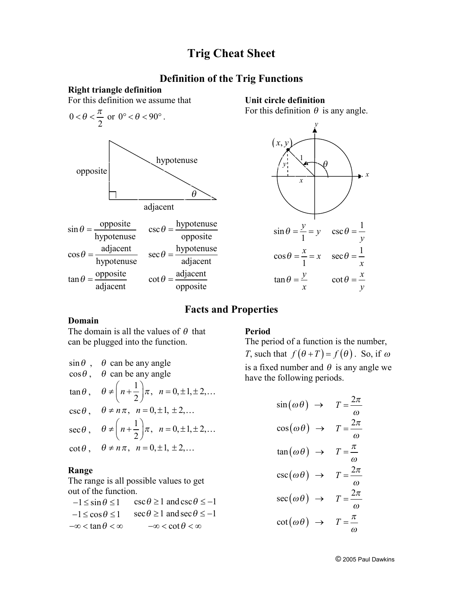## **Trig Cheat Sheet**

## **Definition of the Trig Functions**

#### **Right triangle definition** For this definition we assume that 0 2  $< \theta < \frac{\pi}{2}$  or  $0^{\circ} < \theta < 90^{\circ}$ .  $\sin \theta = \frac{\text{opposite}}{\sqrt{\frac{1}{2}} \cdot \frac{1}{2}}$ hypotenuse  $\theta = \frac{\text{opposite}}{\text{csc}\,\theta}$   $\cos \theta = \frac{\text{hypotenuse}}{\text{csc}\,\theta}$ opposite  $\theta =$ adjacent  $\cos \theta =$ hypotenuse  $\theta = \frac{\text{adjacent}}{\text{sec}\theta} = \frac{\text{hypotenuse}}{\text{cos}\theta}$ adjacent  $\tan \theta = \frac{\text{opposite}}{\text{im}}$ adjacent  $\theta = \frac{\text{opposite}}{\text{if}}$   $\cot \theta = \frac{\text{adjacent}}{\text{if}}$ opposite  $\theta$ adjacent opposite hypotenuse

**Unit circle definition**  For this definition  $\theta$  is any angle.



### **Facts and Properties**

#### **Domain**

The domain is all the values of  $\theta$  that can be plugged into the function.

| $\sin\theta$ ,  | $\theta$ can be any angle                                                |
|-----------------|--------------------------------------------------------------------------|
| $\cos\theta$ ,  | $\theta$ can be any angle                                                |
| $\tan\theta$ ,  | $\theta \neq \left( n+\frac{1}{2}\right)\pi, \ \ n=0,\pm 1,\pm 2,\ldots$ |
|                 | $\csc \theta$ , $\theta \neq n\pi$ , $n = 0, \pm 1, \pm 2,$              |
| $\sec \theta$ , | $\theta \neq \left( n+\frac{1}{2}\right)\pi, \ \ n=0,\pm 1,\pm 2,\ldots$ |
|                 | $\cot \theta$ , $\theta \neq n\pi$ , $n = 0, \pm 1, \pm 2,$              |

### **Range**

The range is all possible values to get out of the function.

 $-1 \le \sin \theta \le 1$   $\csc \theta \ge 1$  and  $\csc \theta \le -1$  $-1 \le \cos \theta \le 1$  sec $\theta \ge 1$  and sec  $\theta \le -1$  $-\infty < \tan \theta < \infty$   $-\infty < \cot \theta < \infty$ 

#### **Period**

The period of a function is the number, *T*, such that  $f(\theta + T) = f(\theta)$ . So, if  $\omega$ is a fixed number and  $\theta$  is any angle we have the following periods.

$$
\sin(\omega \theta) \rightarrow T = \frac{2\pi}{\omega}
$$

$$
\cos(\omega \theta) \rightarrow T = \frac{2\pi}{\omega}
$$

$$
\tan(\omega \theta) \rightarrow T = \frac{\pi}{\omega}
$$

$$
\csc(\omega \theta) \rightarrow T = \frac{2\pi}{\omega}
$$

$$
\sec(\omega \theta) \rightarrow T = \frac{2\pi}{\omega}
$$

$$
\cot(\omega \theta) \rightarrow T = \frac{\pi}{\omega}
$$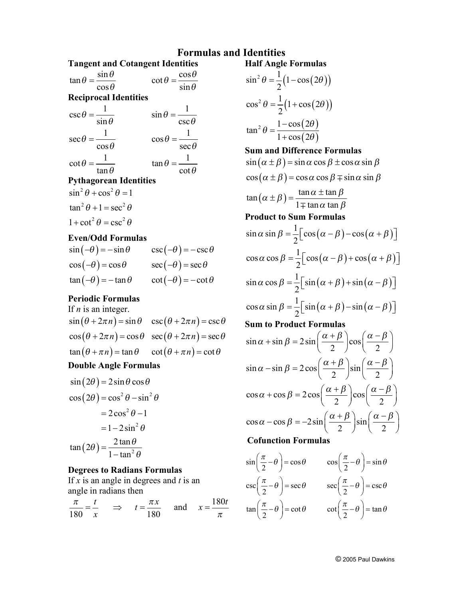## **Formulas and Identities Half Angle Formulas**

| $\tan \theta = \frac{\sin \theta}{\cos \theta}$ | $\cot \theta = \frac{\cos \theta}{\cos \theta}$ |              |
|-------------------------------------------------|-------------------------------------------------|--------------|
| $\cos\theta$                                    |                                                 | $\sin\theta$ |
| <b>Reciprocal Identities</b>                    |                                                 |              |
| $\csc \theta =$                                 | $\sin \theta = -$                               |              |

$$
\csc \theta = \frac{1}{\sin \theta} \qquad \qquad \sin \theta = \frac{1}{\csc \theta}
$$

$$
\sec \theta = \frac{1}{\cos \theta} \qquad \qquad \cos \theta = \frac{1}{\sec \theta}
$$

$$
\cot \theta = \frac{1}{\tan \theta} \qquad \qquad \tan \theta = \frac{1}{\cot \theta}
$$

## **Pythagorean Identities**

$$
\sin^2 \theta + \cos^2 \theta = 1
$$

$$
\tan^2 \theta + 1 = \sec^2 \theta
$$

$$
1 + \cot^2 \theta = \csc^2 \theta
$$

## **Even/Odd Formulas**

| $\sin(-\theta) = -\sin\theta$ | $\csc(-\theta) = -\csc\theta$ |
|-------------------------------|-------------------------------|
| $\cos(-\theta) = \cos\theta$  | $\sec(-\theta) = \sec \theta$ |
| $\tan(-\theta) = -\tan\theta$ | $\cot(-\theta) = -\cot\theta$ |

#### **Periodic Formulas**

## If *n* is an integer.

| $\sin(\theta + 2\pi n) = \sin \theta \quad \csc(\theta + 2\pi n) = \csc \theta$ |  |
|---------------------------------------------------------------------------------|--|
| $\cos(\theta + 2\pi n) = \cos\theta \quad \sec(\theta + 2\pi n) = \sec\theta$   |  |
| $\tan(\theta + \pi n) = \tan \theta$ $\cot(\theta + \pi n) = \cot \theta$       |  |

## **Double Angle Formulas**

$$
\sin(2\theta) = 2\sin\theta\cos\theta
$$
  
\n
$$
\cos(2\theta) = \cos^2\theta - \sin^2\theta
$$
  
\n
$$
= 2\cos^2\theta - 1
$$
  
\n
$$
= 1 - 2\sin^2\theta
$$
  
\n
$$
\tan(2\theta) = \frac{2\tan\theta}{1 - \tan^2\theta}
$$

## **Degrees to Radians Formulas**

If *x* is an angle in degrees and *t* is an angle in radians then

$$
\frac{\pi}{180} = \frac{t}{x} \implies t = \frac{\pi x}{180} \text{ and } x = \frac{180t}{\pi}
$$

$$
sin2 θ = \frac{1}{2}(1 - cos(2θ))
$$
  
\n
$$
cos2 θ = \frac{1}{2}(1 + cos(2θ))
$$
  
\n
$$
tan2 θ = \frac{1 - cos(2θ)}{1 + cos(2θ)}
$$
  
\nSum and Difference Formulas  
\n
$$
sin(α ± β) = sin α cos β ± cos α sin β
$$
  
\n
$$
cos(α ± β) = cos α cos β ± sin α sin β
$$
  
\n
$$
tan(α ± β) = \frac{tan α ± tan β}{1 ± tan α tan β}
$$
  
\nProduct to Sum Formulas  
\n
$$
sin α sin β = \frac{1}{2}[cos(α - β) - cos(α + β)]
$$
  
\n
$$
cos α cos β = \frac{1}{2}[cos(α - β) + cos(α + β)]
$$
  
\n
$$
sin α cos β = \frac{1}{2}[sin(α + β) + sin(α - β)]
$$
  
\n
$$
sin α cos β = \frac{1}{2}[sin(α + β) - sin(α - β)]
$$
  
\nSum to Product Formulas  
\n
$$
sin α + sin β = 2 sin(\frac{α + β}{2})cos(\frac{α - β}{2})
$$
  
\n
$$
sin α - sin β = 2 cos(\frac{α + β}{2})sin(\frac{α - β}{2})
$$
  
\n
$$
cos α + cos β = 2 cos(\frac{α + β}{2})sin(\frac{α - β}{2})
$$
  
\n
$$
cos α - cos β = -2 sin(\frac{α + β}{2})sin(\frac{α - β}{2})
$$

## **Cofunction Formulas**

$$
\sin\left(\frac{\pi}{2} - \theta\right) = \cos\theta \qquad \cos\left(\frac{\pi}{2} - \theta\right) = \sin\theta
$$

$$
\csc\left(\frac{\pi}{2} - \theta\right) = \sec\theta \qquad \sec\left(\frac{\pi}{2} - \theta\right) = \csc\theta
$$

$$
\tan\left(\frac{\pi}{2} - \theta\right) = \cot\theta \qquad \cot\left(\frac{\pi}{2} - \theta\right) = \tan\theta
$$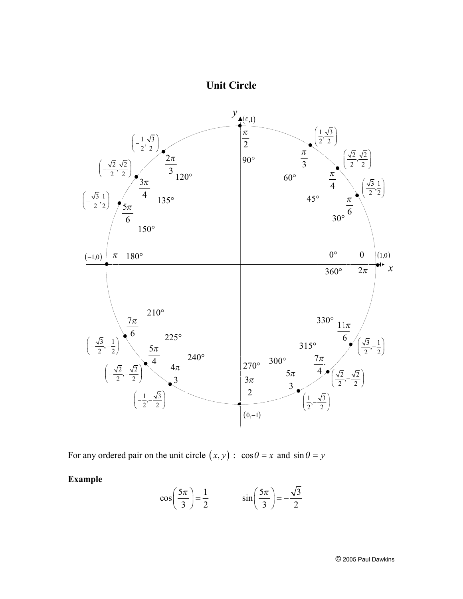# **Unit Circle**



For any ordered pair on the unit circle  $(x, y)$ :  $\cos \theta = x$  and  $\sin \theta = y$ 

**Example** 

$$
\cos\left(\frac{5\pi}{3}\right) = \frac{1}{2} \qquad \sin\left(\frac{5\pi}{3}\right) = -\frac{\sqrt{3}}{2}
$$